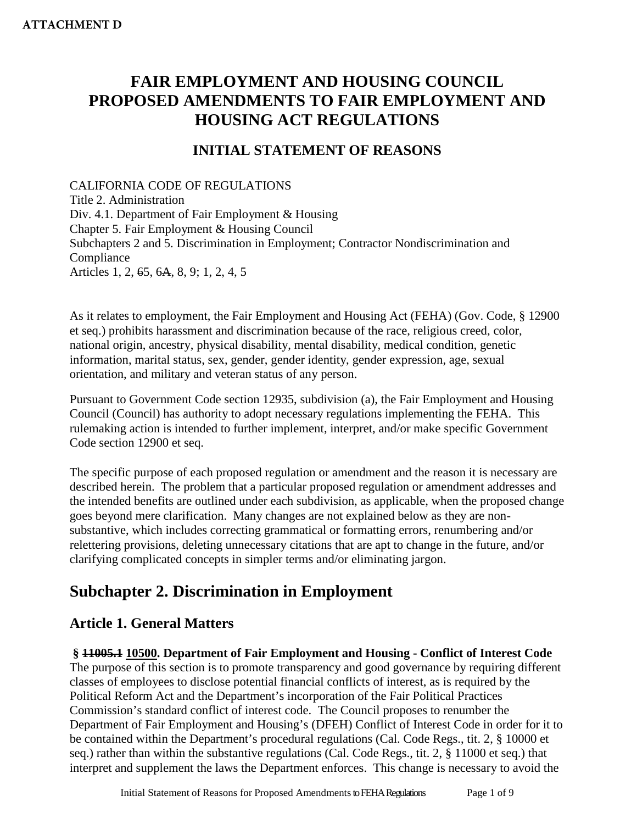# **FAIR EMPLOYMENT AND HOUSING COUNCIL PROPOSED AMENDMENTS TO FAIR EMPLOYMENT AND HOUSING ACT REGULATIONS**

# **INITIAL STATEMENT OF REASONS**

CALIFORNIA CODE OF REGULATIONS Title 2. Administration Div. 4.1. Department of Fair Employment & Housing Chapter 5. Fair Employment & Housing Council Subchapters 2 and 5. Discrimination in Employment; Contractor Nondiscrimination and Compliance Articles 1, 2, 65, 6A, 8, 9; 1, 2, 4, 5

As it relates to employment, the Fair Employment and Housing Act (FEHA) (Gov. Code, § 12900 et seq.) prohibits harassment and discrimination because of the race, religious creed, color, national origin, ancestry, physical disability, mental disability, medical condition, genetic information, marital status, sex, gender, gender identity, gender expression, age, sexual orientation, and military and veteran status of any person.

Pursuant to Government Code section 12935, subdivision (a), the Fair Employment and Housing Council (Council) has authority to adopt necessary regulations implementing the FEHA. This rulemaking action is intended to further implement, interpret, and/or make specific Government Code section 12900 et seq.

The specific purpose of each proposed regulation or amendment and the reason it is necessary are described herein. The problem that a particular proposed regulation or amendment addresses and the intended benefits are outlined under each subdivision, as applicable, when the proposed change goes beyond mere clarification. Many changes are not explained below as they are nonsubstantive, which includes correcting grammatical or formatting errors, renumbering and/or relettering provisions, deleting unnecessary citations that are apt to change in the future, and/or clarifying complicated concepts in simpler terms and/or eliminating jargon.

# **Subchapter 2. Discrimination in Employment**

# **Article 1. General Matters**

**§ 11005.1 10500. Department of Fair Employment and Housing - Conflict of Interest Code** The purpose of this section is to promote transparency and good governance by requiring different classes of employees to disclose potential financial conflicts of interest, as is required by the Political Reform Act and the Department's incorporation of the Fair Political Practices Commission's standard conflict of interest code. The Council proposes to renumber the Department of Fair Employment and Housing's (DFEH) Conflict of Interest Code in order for it to be contained within the Department's procedural regulations (Cal. Code Regs., tit. 2, § 10000 et seq.) rather than within the substantive regulations (Cal. Code Regs., tit. 2, § 11000 et seq.) that interpret and supplement the laws the Department enforces. This change is necessary to avoid the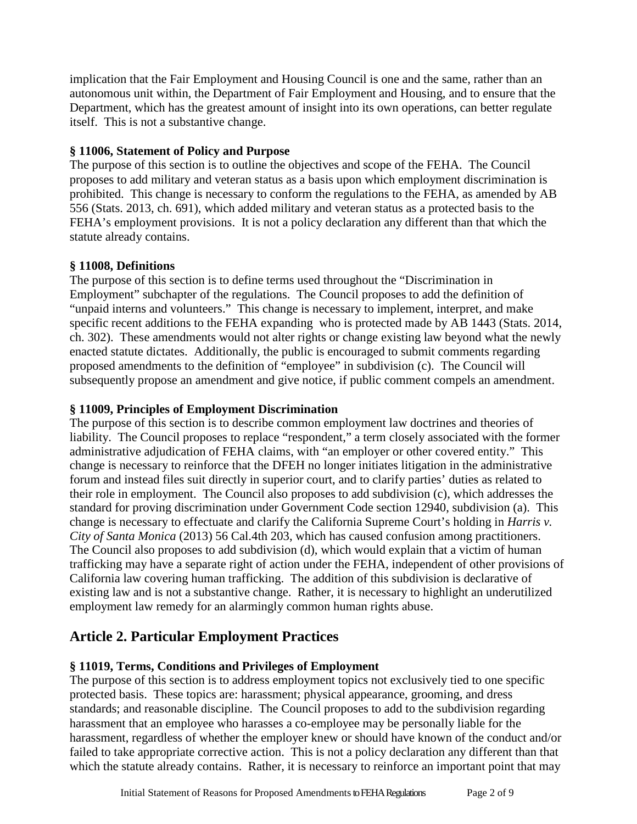implication that the Fair Employment and Housing Council is one and the same, rather than an autonomous unit within, the Department of Fair Employment and Housing, and to ensure that the Department, which has the greatest amount of insight into its own operations, can better regulate itself. This is not a substantive change.

#### **§ 11006, Statement of Policy and Purpose**

The purpose of this section is to outline the objectives and scope of the FEHA. The Council proposes to add military and veteran status as a basis upon which employment discrimination is prohibited. This change is necessary to conform the regulations to the FEHA, as amended by AB 556 (Stats. 2013, ch. 691), which added military and veteran status as a protected basis to the FEHA's employment provisions. It is not a policy declaration any different than that which the statute already contains.

#### **§ 11008, Definitions**

The purpose of this section is to define terms used throughout the "Discrimination in Employment" subchapter of the regulations. The Council proposes to add the definition of "unpaid interns and volunteers." This change is necessary to implement, interpret, and make specific recent additions to the FEHA expanding who is protected made by AB 1443 (Stats. 2014, ch. 302). These amendments would not alter rights or change existing law beyond what the newly enacted statute dictates. Additionally, the public is encouraged to submit comments regarding proposed amendments to the definition of "employee" in subdivision (c). The Council will subsequently propose an amendment and give notice, if public comment compels an amendment.

#### **§ 11009, Principles of Employment Discrimination**

The purpose of this section is to describe common employment law doctrines and theories of liability. The Council proposes to replace "respondent," a term closely associated with the former administrative adjudication of FEHA claims, with "an employer or other covered entity." This change is necessary to reinforce that the DFEH no longer initiates litigation in the administrative forum and instead files suit directly in superior court, and to clarify parties' duties as related to their role in employment. The Council also proposes to add subdivision (c), which addresses the standard for proving discrimination under Government Code section 12940, subdivision (a). This change is necessary to effectuate and clarify the California Supreme Court's holding in *Harris v. City of Santa Monica* (2013) 56 Cal.4th 203, which has caused confusion among practitioners. The Council also proposes to add subdivision (d), which would explain that a victim of human trafficking may have a separate right of action under the FEHA, independent of other provisions of California law covering human trafficking. The addition of this subdivision is declarative of existing law and is not a substantive change. Rather, it is necessary to highlight an underutilized employment law remedy for an alarmingly common human rights abuse.

# **Article 2. Particular Employment Practices**

#### **§ 11019, Terms, Conditions and Privileges of Employment**

The purpose of this section is to address employment topics not exclusively tied to one specific protected basis. These topics are: harassment; physical appearance, grooming, and dress standards; and reasonable discipline. The Council proposes to add to the subdivision regarding harassment that an employee who harasses a co-employee may be personally liable for the harassment, regardless of whether the employer knew or should have known of the conduct and/or failed to take appropriate corrective action. This is not a policy declaration any different than that which the statute already contains. Rather, it is necessary to reinforce an important point that may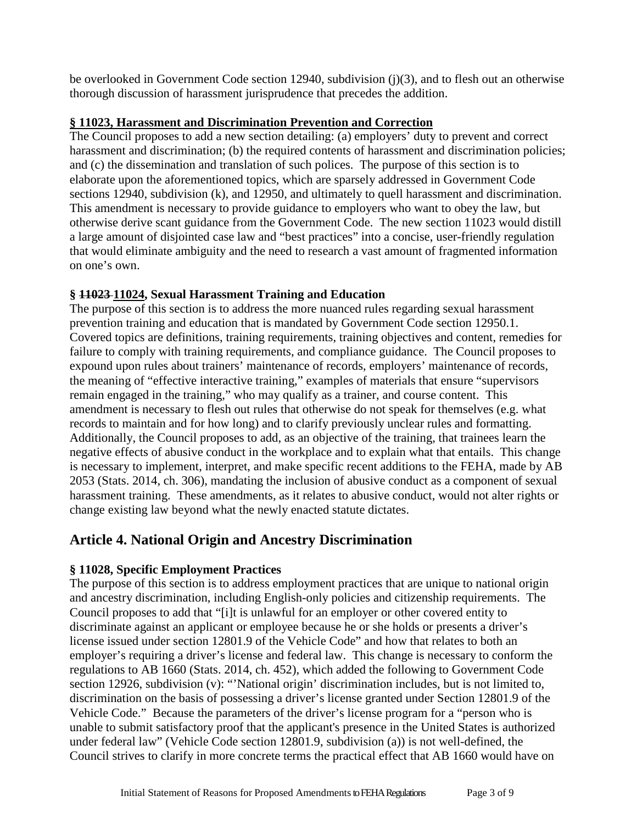be overlooked in Government Code section 12940, subdivision (j)(3), and to flesh out an otherwise thorough discussion of harassment jurisprudence that precedes the addition.

### **§ 11023, Harassment and Discrimination Prevention and Correction**

The Council proposes to add a new section detailing: (a) employers' duty to prevent and correct harassment and discrimination; (b) the required contents of harassment and discrimination policies; and (c) the dissemination and translation of such polices. The purpose of this section is to elaborate upon the aforementioned topics, which are sparsely addressed in Government Code sections 12940, subdivision (k), and 12950, and ultimately to quell harassment and discrimination. This amendment is necessary to provide guidance to employers who want to obey the law, but otherwise derive scant guidance from the Government Code. The new section 11023 would distill a large amount of disjointed case law and "best practices" into a concise, user-friendly regulation that would eliminate ambiguity and the need to research a vast amount of fragmented information on one's own.

### **§ 11023 11024, Sexual Harassment Training and Education**

The purpose of this section is to address the more nuanced rules regarding sexual harassment prevention training and education that is mandated by Government Code section 12950.1. Covered topics are definitions, training requirements, training objectives and content, remedies for failure to comply with training requirements, and compliance guidance. The Council proposes to expound upon rules about trainers' maintenance of records, employers' maintenance of records, the meaning of "effective interactive training," examples of materials that ensure "supervisors remain engaged in the training," who may qualify as a trainer, and course content. This amendment is necessary to flesh out rules that otherwise do not speak for themselves (e.g. what records to maintain and for how long) and to clarify previously unclear rules and formatting. Additionally, the Council proposes to add, as an objective of the training, that trainees learn the negative effects of abusive conduct in the workplace and to explain what that entails. This change is necessary to implement, interpret, and make specific recent additions to the FEHA, made by AB 2053 (Stats. 2014, ch. 306), mandating the inclusion of abusive conduct as a component of sexual harassment training. These amendments, as it relates to abusive conduct, would not alter rights or change existing law beyond what the newly enacted statute dictates.

# **Article 4. National Origin and Ancestry Discrimination**

### **§ 11028, Specific Employment Practices**

The purpose of this section is to address employment practices that are unique to national origin and ancestry discrimination, including English-only policies and citizenship requirements. The Council proposes to add that "[i]t is unlawful for an employer or other covered entity to discriminate against an applicant or employee because he or she holds or presents a driver's license issued under section 12801.9 of the Vehicle Code" and how that relates to both an employer's requiring a driver's license and federal law. This change is necessary to conform the regulations to AB 1660 (Stats. 2014, ch. 452), which added the following to Government Code section 12926, subdivision (v): "'National origin' discrimination includes, but is not limited to, discrimination on the basis of possessing a driver's license granted under Section 12801.9 of the Vehicle Code." Because the parameters of the driver's license program for a "person who is unable to submit satisfactory proof that the applicant's presence in the United States is authorized under federal law" (Vehicle Code section 12801.9, subdivision (a)) is not well-defined, the Council strives to clarify in more concrete terms the practical effect that AB 1660 would have on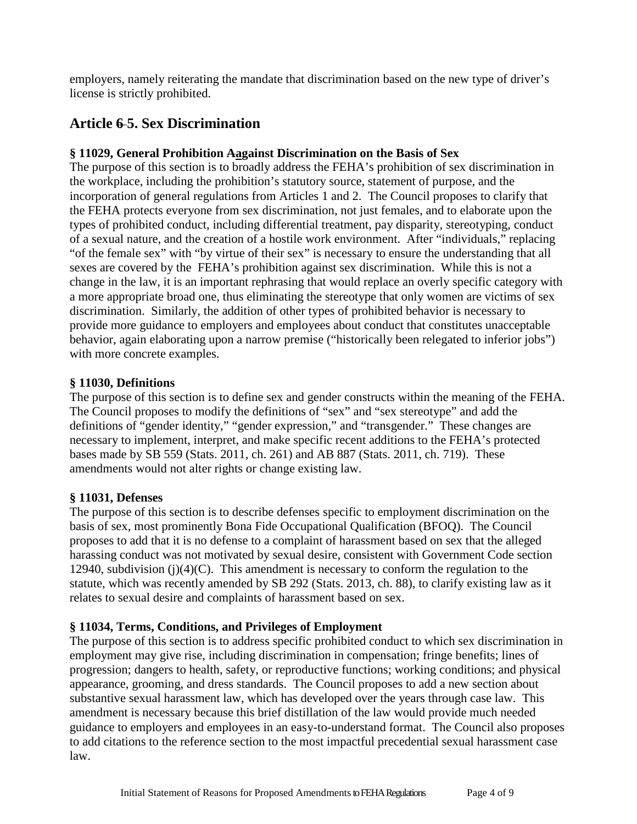employers, namely reiterating the mandate that discrimination based on the new type of driver's license is strictly prohibited.

# **Article 6 5. Sex Discrimination**

#### **§ 11029, General Prohibition Aagainst Discrimination on the Basis of Sex**

The purpose of this section is to broadly address the FEHA's prohibition of sex discrimination in the workplace, including the prohibition's statutory source, statement of purpose, and the incorporation of general regulations from Articles 1 and 2. The Council proposes to clarify that the FEHA protects everyone from sex discrimination, not just females, and to elaborate upon the types of prohibited conduct, including differential treatment, pay disparity, stereotyping, conduct of a sexual nature, and the creation of a hostile work environment. After "individuals," replacing "of the female sex" with "by virtue of their sex" is necessary to ensure the understanding that all sexes are covered by the FEHA's prohibition against sex discrimination. While this is not a change in the law, it is an important rephrasing that would replace an overly specific category with a more appropriate broad one, thus eliminating the stereotype that only women are victims of sex discrimination. Similarly, the addition of other types of prohibited behavior is necessary to provide more guidance to employers and employees about conduct that constitutes unacceptable behavior, again elaborating upon a narrow premise ("historically been relegated to inferior jobs") with more concrete examples.

#### **§ 11030, Definitions**

The purpose of this section is to define sex and gender constructs within the meaning of the FEHA. The Council proposes to modify the definitions of "sex" and "sex stereotype" and add the definitions of "gender identity," "gender expression," and "transgender." These changes are necessary to implement, interpret, and make specific recent additions to the FEHA's protected bases made by SB 559 (Stats. 2011, ch. 261) and AB 887 (Stats. 2011, ch. 719). These amendments would not alter rights or change existing law.

#### **§ 11031, Defenses**

The purpose of this section is to describe defenses specific to employment discrimination on the basis of sex, most prominently Bona Fide Occupational Qualification (BFOQ). The Council proposes to add that it is no defense to a complaint of harassment based on sex that the alleged harassing conduct was not motivated by sexual desire, consistent with Government Code section 12940, subdivision  $(i)(4)(C)$ . This amendment is necessary to conform the regulation to the statute, which was recently amended by SB 292 (Stats. 2013, ch. 88), to clarify existing law as it relates to sexual desire and complaints of harassment based on sex.

#### **§ 11034, Terms, Conditions, and Privileges of Employment**

The purpose of this section is to address specific prohibited conduct to which sex discrimination in employment may give rise, including discrimination in compensation; fringe benefits; lines of progression; dangers to health, safety, or reproductive functions; working conditions; and physical appearance, grooming, and dress standards. The Council proposes to add a new section about substantive sexual harassment law, which has developed over the years through case law. This amendment is necessary because this brief distillation of the law would provide much needed guidance to employers and employees in an easy-to-understand format. The Council also proposes to add citations to the reference section to the most impactful precedential sexual harassment case law.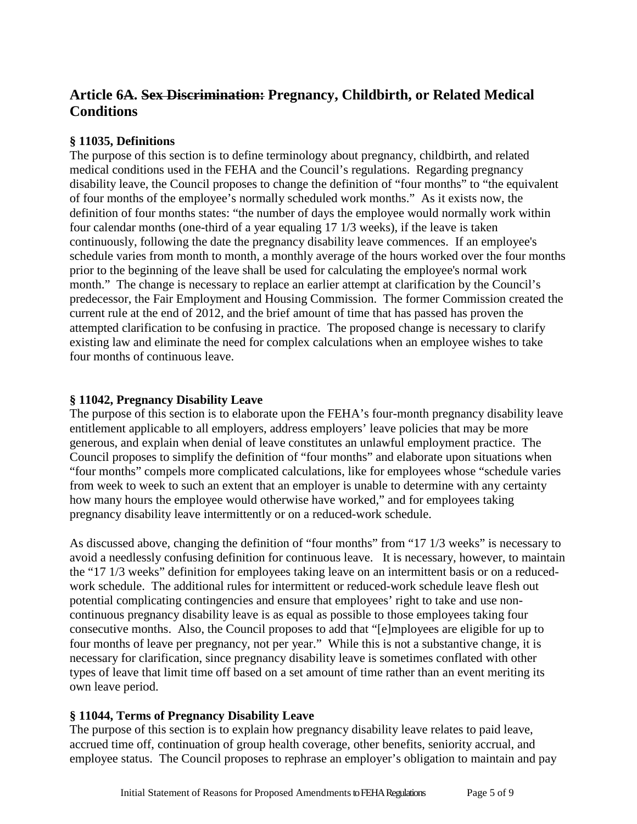# **Article 6A. Sex Discrimination: Pregnancy, Childbirth, or Related Medical Conditions**

#### **§ 11035, Definitions**

The purpose of this section is to define terminology about pregnancy, childbirth, and related medical conditions used in the FEHA and the Council's regulations. Regarding pregnancy disability leave, the Council proposes to change the definition of "four months" to "the equivalent of four months of the employee's normally scheduled work months." As it exists now, the definition of four months states: "the number of days the employee would normally work within four calendar months (one-third of a year equaling 17 1/3 weeks), if the leave is taken continuously, following the date the pregnancy disability leave commences. If an employee's schedule varies from month to month, a monthly average of the hours worked over the four months prior to the beginning of the leave shall be used for calculating the employee's normal work month." The change is necessary to replace an earlier attempt at clarification by the Council's predecessor, the Fair Employment and Housing Commission. The former Commission created the current rule at the end of 2012, and the brief amount of time that has passed has proven the attempted clarification to be confusing in practice. The proposed change is necessary to clarify existing law and eliminate the need for complex calculations when an employee wishes to take four months of continuous leave.

#### **§ 11042, Pregnancy Disability Leave**

The purpose of this section is to elaborate upon the FEHA's four-month pregnancy disability leave entitlement applicable to all employers, address employers' leave policies that may be more generous, and explain when denial of leave constitutes an unlawful employment practice. The Council proposes to simplify the definition of "four months" and elaborate upon situations when "four months" compels more complicated calculations, like for employees whose "schedule varies from week to week to such an extent that an employer is unable to determine with any certainty how many hours the employee would otherwise have worked," and for employees taking pregnancy disability leave intermittently or on a reduced-work schedule.

As discussed above, changing the definition of "four months" from "17 1/3 weeks" is necessary to avoid a needlessly confusing definition for continuous leave. It is necessary, however, to maintain the "17 1/3 weeks" definition for employees taking leave on an intermittent basis or on a reducedwork schedule. The additional rules for intermittent or reduced-work schedule leave flesh out potential complicating contingencies and ensure that employees' right to take and use noncontinuous pregnancy disability leave is as equal as possible to those employees taking four consecutive months. Also, the Council proposes to add that "[e]mployees are eligible for up to four months of leave per pregnancy, not per year." While this is not a substantive change, it is necessary for clarification, since pregnancy disability leave is sometimes conflated with other types of leave that limit time off based on a set amount of time rather than an event meriting its own leave period.

### **§ 11044, Terms of Pregnancy Disability Leave**

The purpose of this section is to explain how pregnancy disability leave relates to paid leave, accrued time off, continuation of group health coverage, other benefits, seniority accrual, and employee status. The Council proposes to rephrase an employer's obligation to maintain and pay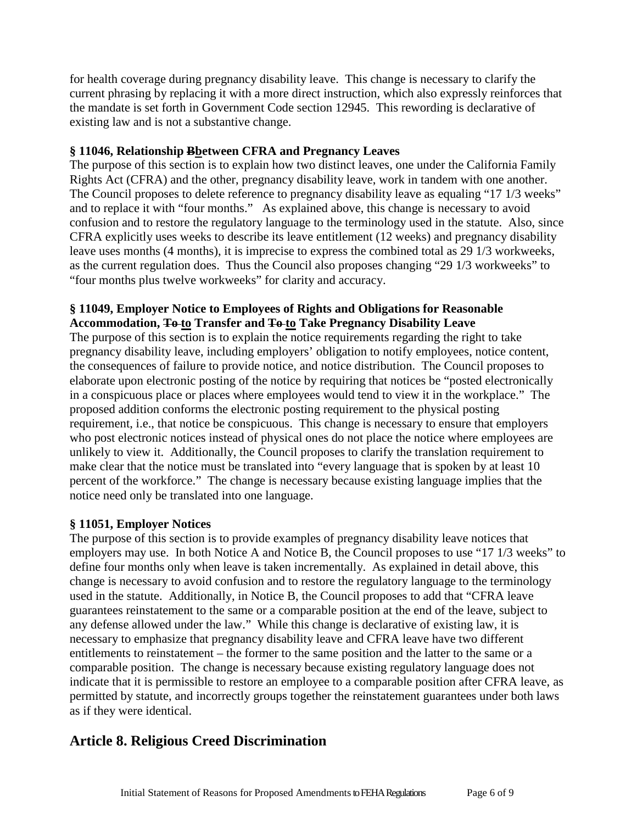for health coverage during pregnancy disability leave. This change is necessary to clarify the current phrasing by replacing it with a more direct instruction, which also expressly reinforces that the mandate is set forth in Government Code section 12945. This rewording is declarative of existing law and is not a substantive change.

#### **§ 11046, Relationship Bbetween CFRA and Pregnancy Leaves**

The purpose of this section is to explain how two distinct leaves, one under the California Family Rights Act (CFRA) and the other, pregnancy disability leave, work in tandem with one another. The Council proposes to delete reference to pregnancy disability leave as equaling "17 1/3 weeks" and to replace it with "four months." As explained above, this change is necessary to avoid confusion and to restore the regulatory language to the terminology used in the statute. Also, since CFRA explicitly uses weeks to describe its leave entitlement (12 weeks) and pregnancy disability leave uses months (4 months), it is imprecise to express the combined total as 29 1/3 workweeks, as the current regulation does. Thus the Council also proposes changing "29 1/3 workweeks" to "four months plus twelve workweeks" for clarity and accuracy.

#### **§ 11049, Employer Notice to Employees of Rights and Obligations for Reasonable Accommodation, To to Transfer and To to Take Pregnancy Disability Leave**

The purpose of this section is to explain the notice requirements regarding the right to take pregnancy disability leave, including employers' obligation to notify employees, notice content, the consequences of failure to provide notice, and notice distribution. The Council proposes to elaborate upon electronic posting of the notice by requiring that notices be "posted electronically in a conspicuous place or places where employees would tend to view it in the workplace." The proposed addition conforms the electronic posting requirement to the physical posting requirement, i.e., that notice be conspicuous. This change is necessary to ensure that employers who post electronic notices instead of physical ones do not place the notice where employees are unlikely to view it. Additionally, the Council proposes to clarify the translation requirement to make clear that the notice must be translated into "every language that is spoken by at least 10 percent of the workforce." The change is necessary because existing language implies that the notice need only be translated into one language.

#### **§ 11051, Employer Notices**

The purpose of this section is to provide examples of pregnancy disability leave notices that employers may use. In both Notice A and Notice B, the Council proposes to use "17 1/3 weeks" to define four months only when leave is taken incrementally. As explained in detail above, this change is necessary to avoid confusion and to restore the regulatory language to the terminology used in the statute. Additionally, in Notice B, the Council proposes to add that "CFRA leave guarantees reinstatement to the same or a comparable position at the end of the leave, subject to any defense allowed under the law." While this change is declarative of existing law, it is necessary to emphasize that pregnancy disability leave and CFRA leave have two different entitlements to reinstatement – the former to the same position and the latter to the same or a comparable position. The change is necessary because existing regulatory language does not indicate that it is permissible to restore an employee to a comparable position after CFRA leave, as permitted by statute, and incorrectly groups together the reinstatement guarantees under both laws as if they were identical.

### **Article 8. Religious Creed Discrimination**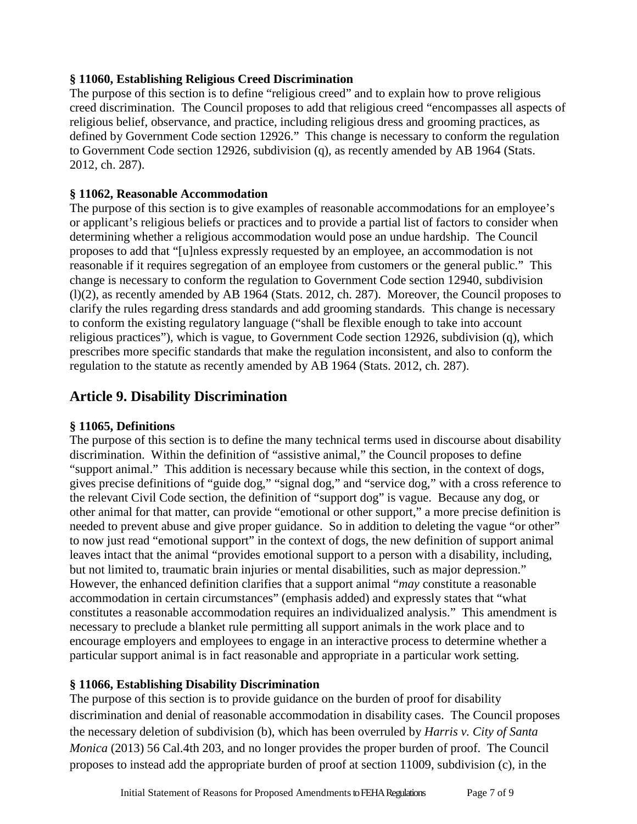### **§ 11060, Establishing Religious Creed Discrimination**

The purpose of this section is to define "religious creed" and to explain how to prove religious creed discrimination. The Council proposes to add that religious creed "encompasses all aspects of religious belief, observance, and practice, including religious dress and grooming practices, as defined by Government Code section 12926." This change is necessary to conform the regulation to Government Code section 12926, subdivision (q), as recently amended by AB 1964 (Stats. 2012, ch. 287).

### **§ 11062, Reasonable Accommodation**

The purpose of this section is to give examples of reasonable accommodations for an employee's or applicant's religious beliefs or practices and to provide a partial list of factors to consider when determining whether a religious accommodation would pose an undue hardship. The Council proposes to add that "[u]nless expressly requested by an employee, an accommodation is not reasonable if it requires segregation of an employee from customers or the general public." This change is necessary to conform the regulation to Government Code section 12940, subdivision (l)(2), as recently amended by AB 1964 (Stats. 2012, ch. 287). Moreover, the Council proposes to clarify the rules regarding dress standards and add grooming standards. This change is necessary to conform the existing regulatory language ("shall be flexible enough to take into account religious practices"), which is vague, to Government Code section 12926, subdivision (q), which prescribes more specific standards that make the regulation inconsistent, and also to conform the regulation to the statute as recently amended by AB 1964 (Stats. 2012, ch. 287).

# **Article 9. Disability Discrimination**

#### **§ 11065, Definitions**

The purpose of this section is to define the many technical terms used in discourse about disability discrimination. Within the definition of "assistive animal," the Council proposes to define "support animal." This addition is necessary because while this section, in the context of dogs, gives precise definitions of "guide dog," "signal dog," and "service dog," with a cross reference to the relevant Civil Code section, the definition of "support dog" is vague. Because any dog, or other animal for that matter, can provide "emotional or other support," a more precise definition is needed to prevent abuse and give proper guidance. So in addition to deleting the vague "or other" to now just read "emotional support" in the context of dogs, the new definition of support animal leaves intact that the animal "provides emotional support to a person with a disability, including, but not limited to, traumatic brain injuries or mental disabilities, such as major depression." However, the enhanced definition clarifies that a support animal "*may* constitute a reasonable accommodation in certain circumstances" (emphasis added) and expressly states that "what constitutes a reasonable accommodation requires an individualized analysis." This amendment is necessary to preclude a blanket rule permitting all support animals in the work place and to encourage employers and employees to engage in an interactive process to determine whether a particular support animal is in fact reasonable and appropriate in a particular work setting.

#### **§ 11066, Establishing Disability Discrimination**

The purpose of this section is to provide guidance on the burden of proof for disability discrimination and denial of reasonable accommodation in disability cases. The Council proposes the necessary deletion of subdivision (b), which has been overruled by *Harris v. City of Santa Monica* (2013) 56 Cal.4th 203, and no longer provides the proper burden of proof. The Council proposes to instead add the appropriate burden of proof at section 11009, subdivision (c), in the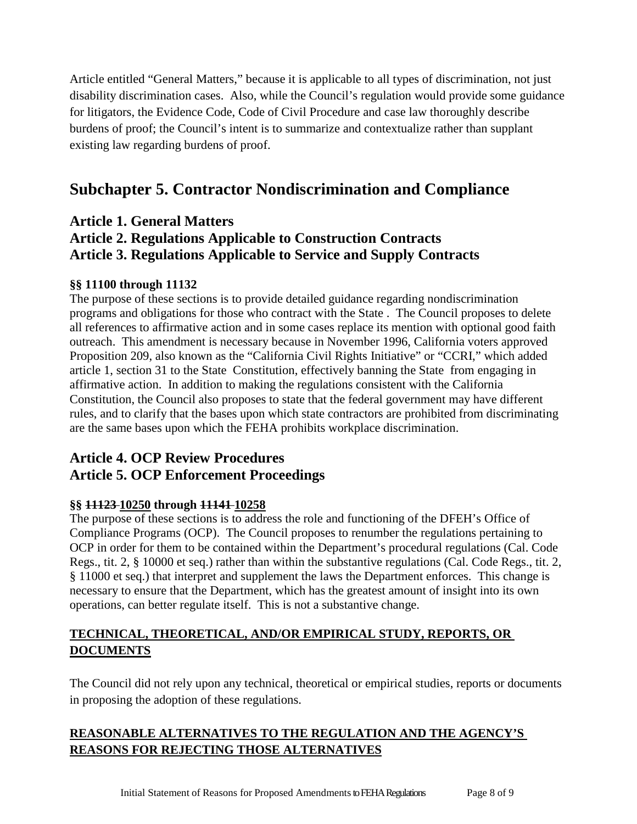Article entitled "General Matters," because it is applicable to all types of discrimination, not just disability discrimination cases. Also, while the Council's regulation would provide some guidance for litigators, the Evidence Code, Code of Civil Procedure and case law thoroughly describe burdens of proof; the Council's intent is to summarize and contextualize rather than supplant existing law regarding burdens of proof.

# **Subchapter 5. Contractor Nondiscrimination and Compliance**

# **Article 1. General Matters**

# **Article 2. Regulations Applicable to Construction Contracts Article 3. Regulations Applicable to Service and Supply Contracts**

### **§§ 11100 through 11132**

The purpose of these sections is to provide detailed guidance regarding nondiscrimination programs and obligations for those who contract with the State . The Council proposes to delete all references to affirmative action and in some cases replace its mention with optional good faith outreach. This amendment is necessary because in November 1996, California voters approved Proposition 209, also known as the "California Civil Rights Initiative" or "CCRI," which added article 1, section 31 to the State Constitution, effectively banning the State from engaging in affirmative action. In addition to making the regulations consistent with the California Constitution, the Council also proposes to state that the federal government may have different rules, and to clarify that the bases upon which state contractors are prohibited from discriminating are the same bases upon which the FEHA prohibits workplace discrimination.

# **Article 4. OCP Review Procedures Article 5. OCP Enforcement Proceedings**

### **§§ 11123 10250 through 11141 10258**

The purpose of these sections is to address the role and functioning of the DFEH's Office of Compliance Programs (OCP). The Council proposes to renumber the regulations pertaining to OCP in order for them to be contained within the Department's procedural regulations (Cal. Code Regs., tit. 2, § 10000 et seq.) rather than within the substantive regulations (Cal. Code Regs., tit. 2, § 11000 et seq.) that interpret and supplement the laws the Department enforces. This change is necessary to ensure that the Department, which has the greatest amount of insight into its own operations, can better regulate itself. This is not a substantive change.

### **TECHNICAL, THEORETICAL, AND/OR EMPIRICAL STUDY, REPORTS, OR DOCUMENTS**

The Council did not rely upon any technical, theoretical or empirical studies, reports or documents in proposing the adoption of these regulations.

# **REASONABLE ALTERNATIVES TO THE REGULATION AND THE AGENCY'S REASONS FOR REJECTING THOSE ALTERNATIVES**